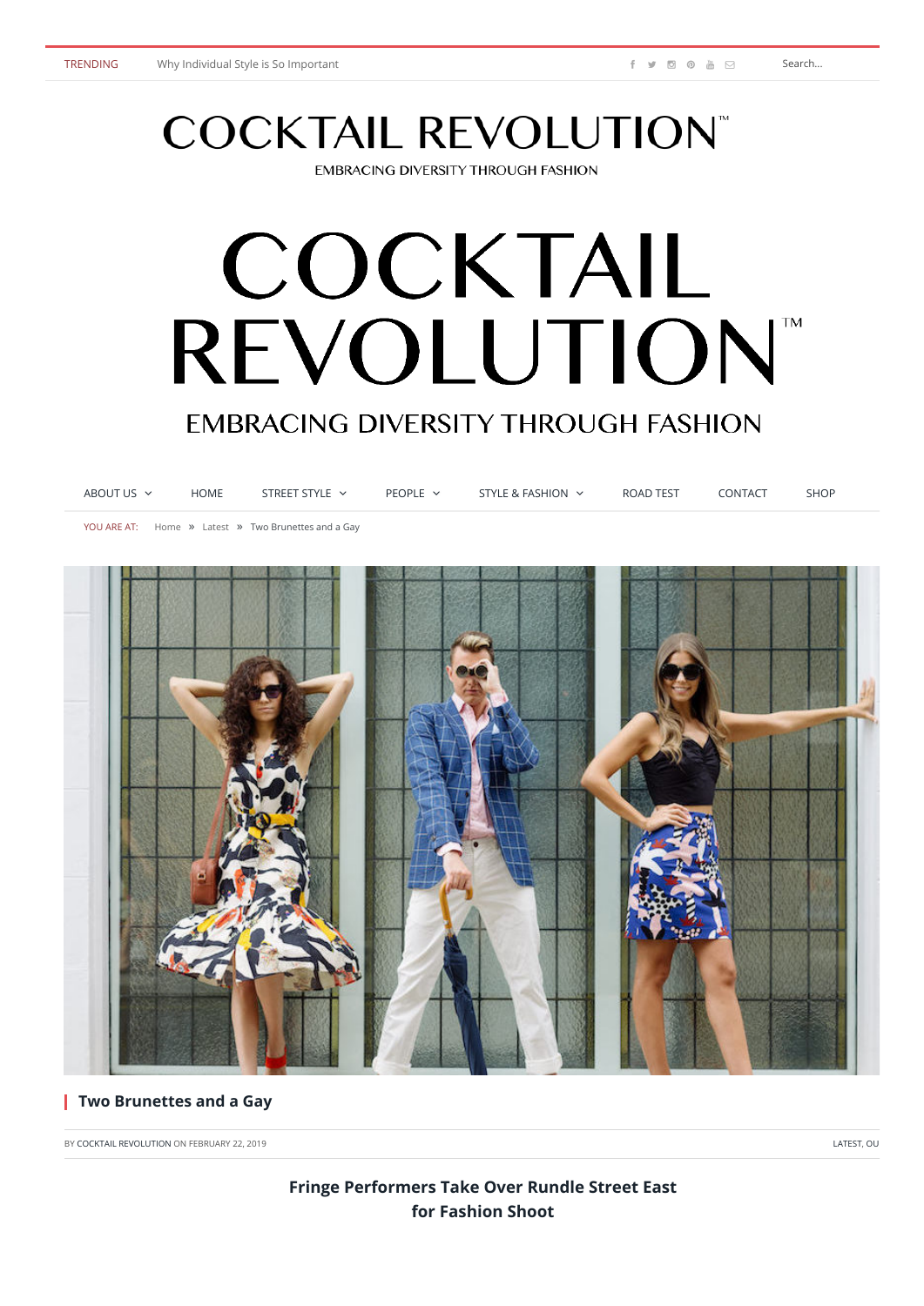# **COCKTAIL REVOLUTION®**

**EMBRACING DIVERSITY THROUGH FASHION** 

## COCKTAIL REVOLUTION **TM EMBRACING DIVERSITY THROUGH FASHION**

| ABOUT US $\sim$ | HOME | STREET STYLE $\sim$                                 | PEOPLE $\sim$ | STYLE & FASHION $\sim$ | ROAD TEST | CONTACT | <b>SHOP</b> |
|-----------------|------|-----------------------------------------------------|---------------|------------------------|-----------|---------|-------------|
|                 |      | YOU ARE AT: Home » Latest » Two Brunettes and a Gay |               |                        |           |         |             |



#### **Two Brunettes and a Gay**

BY [COCKTAIL REVOLUTION](https://www.cocktailrevolution.net.au/author/cocktail-revolution/) ON FEBRUARY 22, 2019 **[LATEST](https://www.cocktailrevolution.net.au/category/latest/), [OU](https://www.cocktailrevolution.net.au/category/our-say/)R SERVICE SERVICE SERVICE SERVICE SERVICE SERVICE SERVICE SERVICE SERVICE SERVICE SERVICE SERVICE SERVICE SERVICE SERVICE SERVICE SERVICE SERVICE SERVICE SERVICE SERVI** 

### **Fringe Performers Take Over Rundle Street East for Fashion Shoot**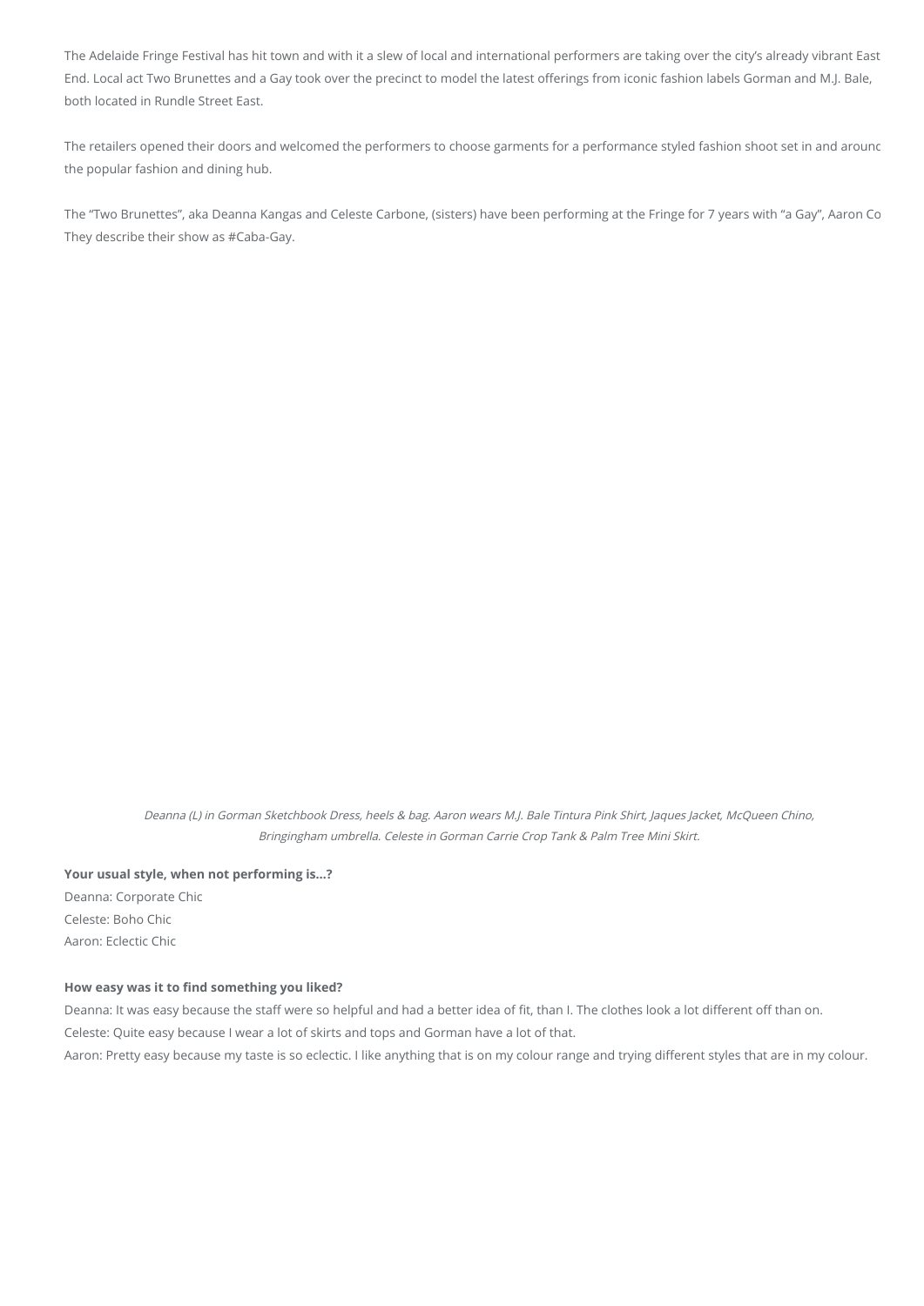The Adelaide Fringe Festival has hit town and with it a slew of local and international performers are taking over the city's already vibrant East End. Local act Two Brunettes and a Gay took over the precinct to model the latest offerings from iconic fashion labels Gorman and M.J. Bale, both located in Rundle Street East.

The retailers opened their doors and welcomed the performers to choose garments for a performance styled fashion shoot set in and arounc the popular fashion and dining hub.

The "Two Brunettes", aka Deanna Kangas and Celeste Carbone, (sisters) have been performing at the Fringe for 7 years with "a Gay", Aaron Co They describe their show as #Caba-Gay.

Deanna (L) in Gorman Sketchbook Dress, heels & bag. Aaron wears M.J. Bale Tintura Pink Shirt, Jaques Jacket, McQueen Chino, Bringingham umbrella. Celeste in Gorman Carrie Crop Tank & Palm Tree Mini Skirt.

**Your usual style, when not performing is…?** Deanna: Corporate Chic Celeste: Boho Chic

Aaron: Eclectic Chic

#### How easy was it to find something you liked?

Deanna: It was easy because the staff were so helpful and had a better idea of fit, than I. The clothes look a lot different off than on.

Celeste: Quite easy because I wear a lot of skirts and tops and Gorman have a lot of that.

Aaron: Pretty easy because my taste is so eclectic. I like anything that is on my colour range and trying different styles that are in my colour.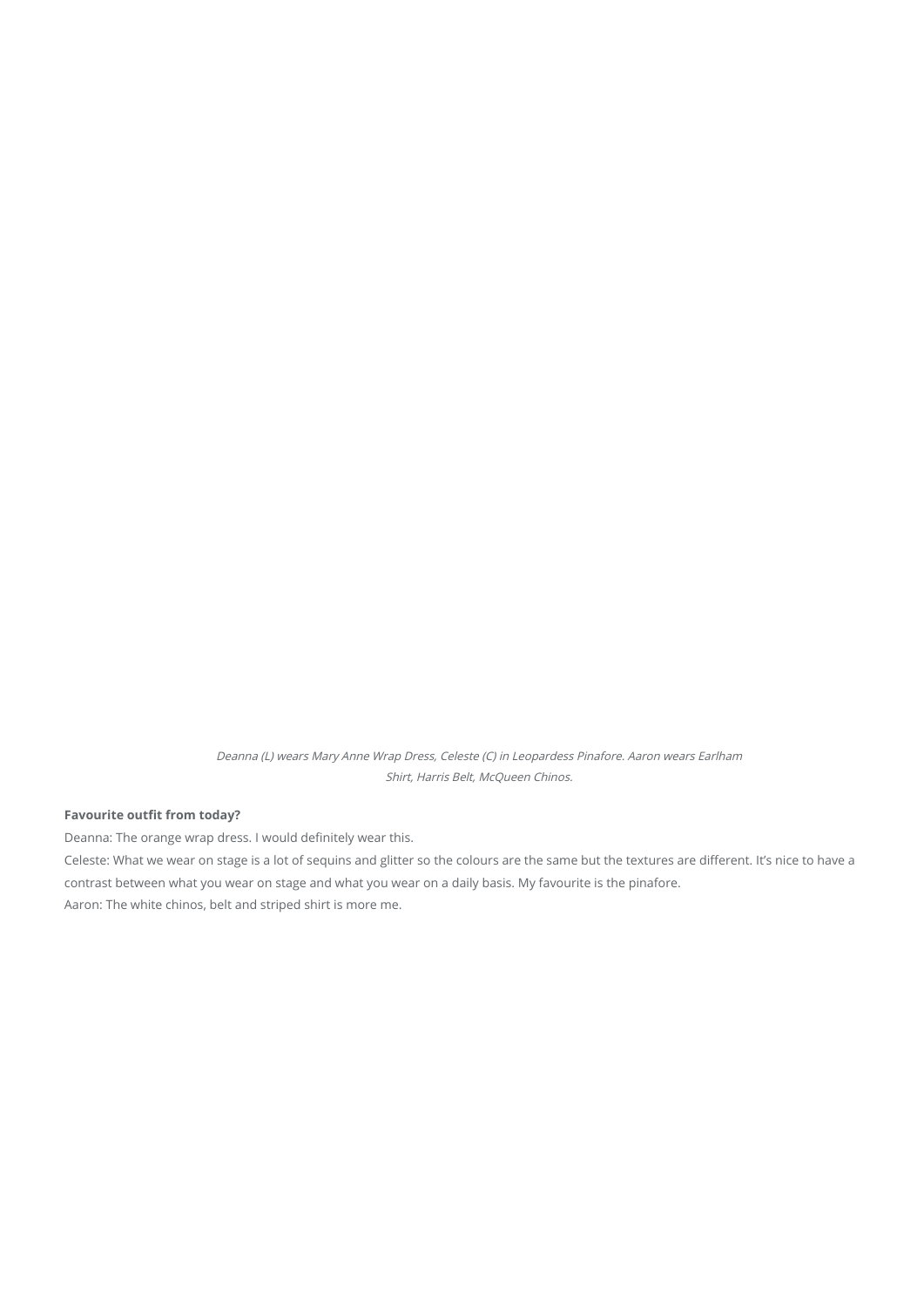Deanna (L) wears Mary Anne Wrap Dress, Celeste (C) in Leopardess Pinafore. Aaron wears Earlham Shirt, Harris Belt, McQueen Chinos.

#### **Favourite outfit from today?**

Deanna: The orange wrap dress. I would definitely wear this.

Celeste: What we wear on stage is a lot of sequins and glitter so the colours are the same but the textures are different. It's nice to have a contrast between what you wear on stage and what you wear on a daily basis. My favourite is the pinafore. Aaron: The white chinos, belt and striped shirt is more me.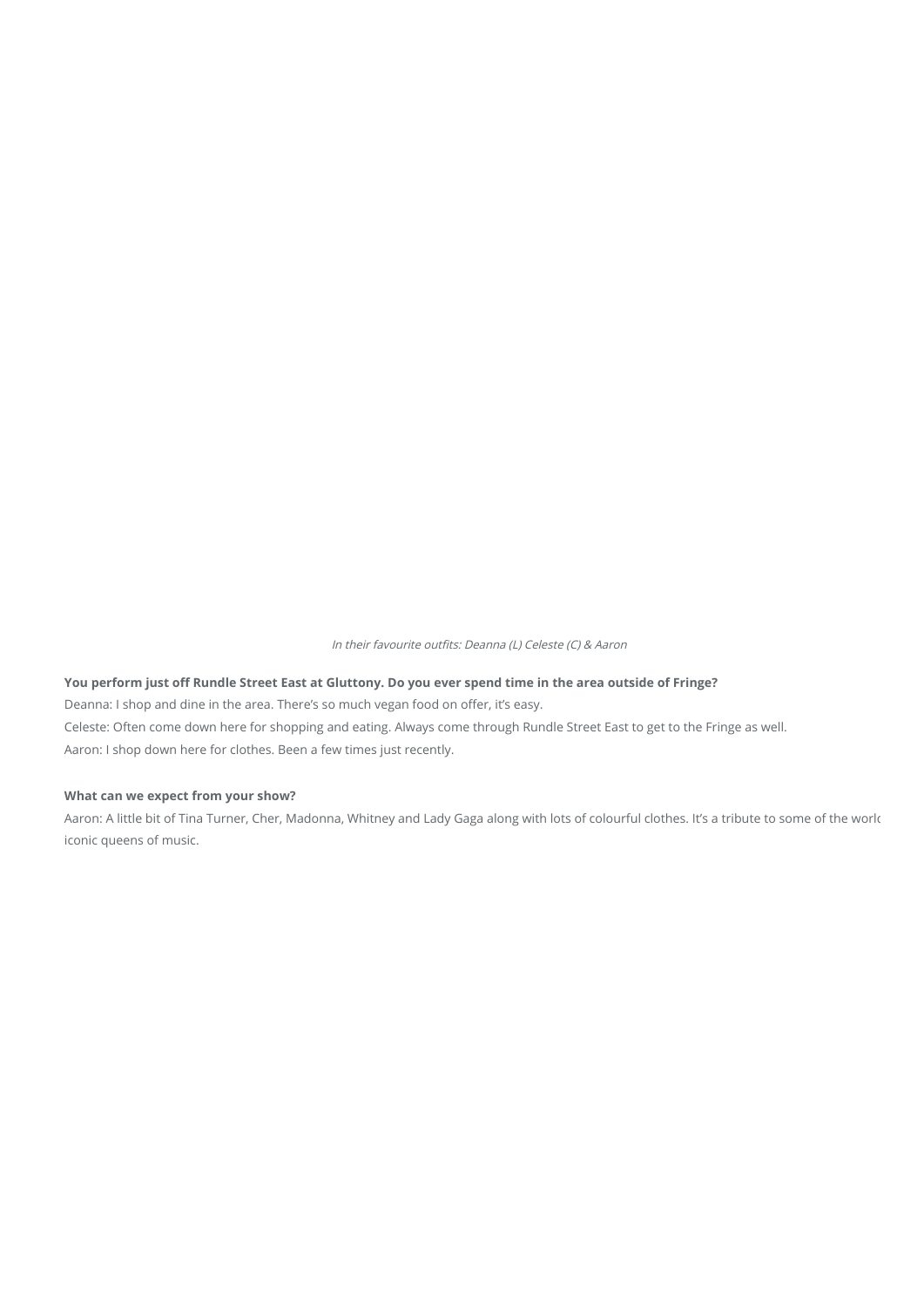In their favourite outfits: Deanna (L) Celeste (C) & Aaron

#### You perform just off Rundle Street East at Gluttony. Do you ever spend time in the area outside of Fringe?

Deanna: I shop and dine in the area. There's so much vegan food on offer, it's easy. Celeste: Often come down here for shopping and eating. Always come through Rundle Street East to get to the Fringe as well. Aaron: I shop down here for clothes. Been a few times just recently.

#### **What can we expect from your show?**

Aaron: A little bit of Tina Turner, Cher, Madonna, Whitney and Lady Gaga along with lots of colourful clothes. It's a tribute to some of the worlc iconic queens of music.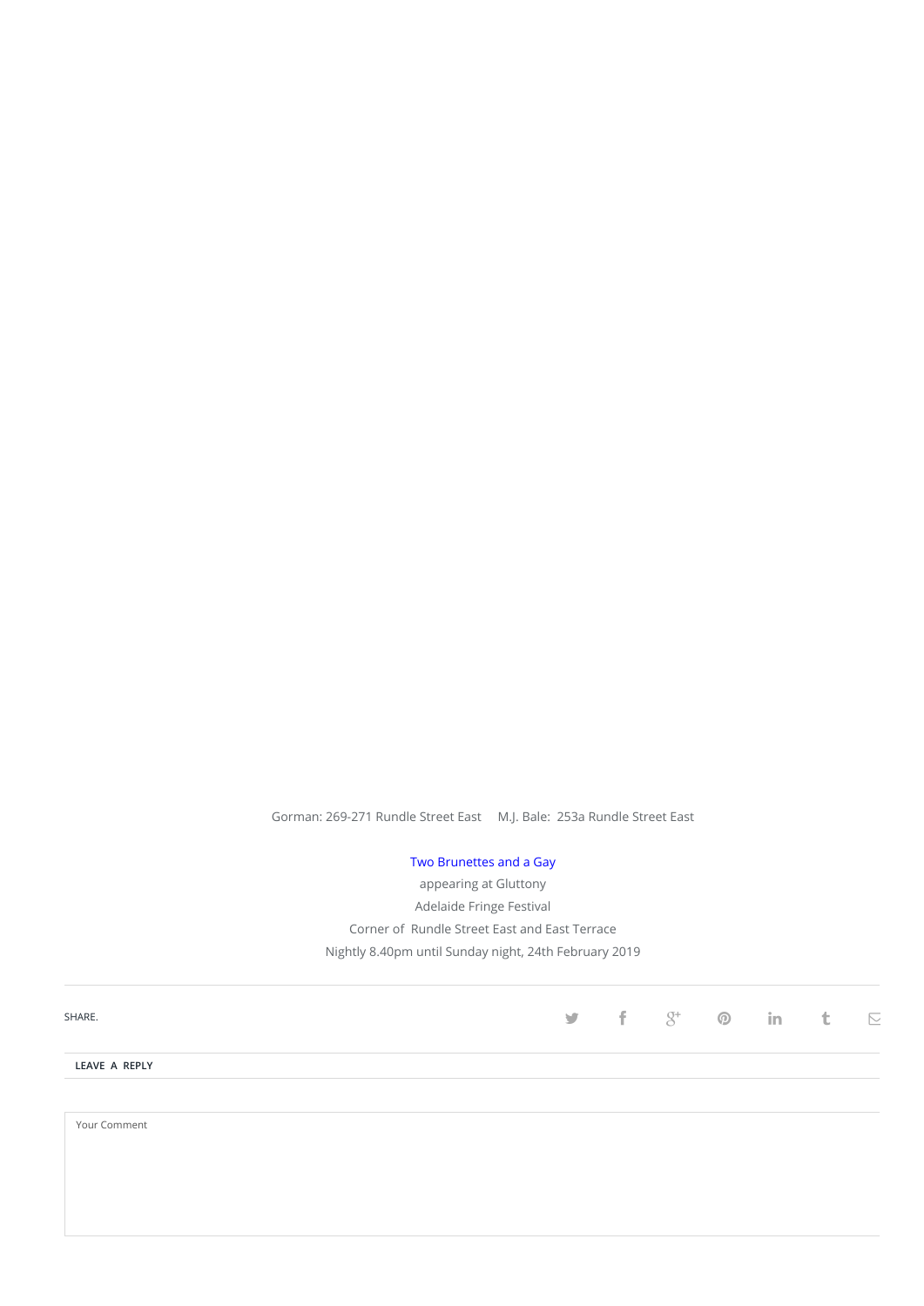Gorman: 269-271 Rundle Street East M.J. Bale: 253a Rundle Street East

[Two Brunettes and a Gay](https://adelaidefringe.com.au/fringetix/two-brunettes-and-a-gay-god-save-the-queens-af2019) appearing at Gluttony Adelaide Fringe Festival Corner of Rundle Street East and East Terrace Nightly 8.40pm until Sunday night, 24th February 2019

| SHARE.        |  |  | $\mathbf{y}$ f $\mathcal{S}^*$ $\mathbf{0}$ in t | $\overline{\phantom{a}}$ |
|---------------|--|--|--------------------------------------------------|--------------------------|
| LEAVE A REPLY |  |  |                                                  |                          |
| Your Comment  |  |  |                                                  |                          |